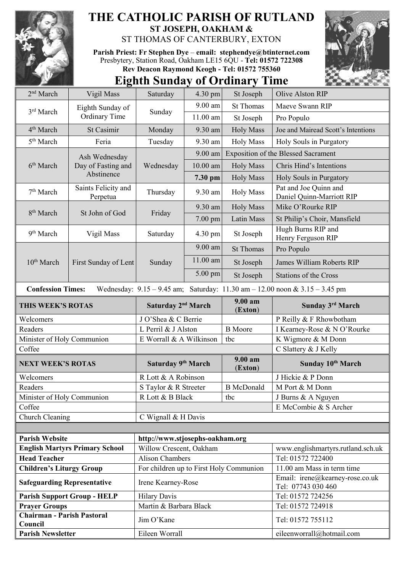

## **THE CATHOLIC PARISH OF RUTLAND ST JOSEPH, OAKHAM &**  ST THOMAS OF CANTERBURY, EXTON

**Parish Priest: Fr Stephen Dye** – **[email: stephendye@btinternet.com](mailto:email:%20%20stephendye@btinternet.com)** Presbytery, Station Road, Oakham LE15 6QU - **Tel: 01572 722308 Rev Deacon Raymond Keogh - Tel: 01572 755360**



## **Eighth Sunday of Ordinary Time**

| 2 <sup>nd</sup> March                 | Vigil Mass                               | Saturday                                | 4.30 pm    | St Joseph          | Olive Alston RIP                                                                    |
|---------------------------------------|------------------------------------------|-----------------------------------------|------------|--------------------|-------------------------------------------------------------------------------------|
| 3 <sup>rd</sup> March                 | Eighth Sunday of<br><b>Ordinary Time</b> | Sunday                                  | 9.00 am    | <b>St Thomas</b>   | Maeve Swann RIP                                                                     |
|                                       |                                          |                                         | $11.00$ am | St Joseph          | Pro Populo                                                                          |
| 4 <sup>th</sup> March                 | <b>St Casimir</b>                        | Monday                                  | 9.30 am    | <b>Holy Mass</b>   | Joe and Mairead Scott's Intentions                                                  |
| 5 <sup>th</sup> March                 | Feria                                    | Tuesday                                 | 9.30 am    | <b>Holy Mass</b>   | Holy Souls in Purgatory                                                             |
|                                       | Ash Wednesday                            | Wednesday                               | 9.00 am    |                    | <b>Exposition of the Blessed Sacrament</b>                                          |
| 6 <sup>th</sup> March                 | Day of Fasting and<br>Abstinence         |                                         | $10.00$ am | <b>Holy Mass</b>   | Chris Hind's Intentions                                                             |
|                                       |                                          |                                         | 7.30 pm    | <b>Holy Mass</b>   | Holy Souls in Purgatory                                                             |
| 7 <sup>th</sup> March                 | Saints Felicity and<br>Perpetua          | Thursday                                | 9.30 am    | <b>Holy Mass</b>   | Pat and Joe Quinn and<br>Daniel Quinn-Marriott RIP                                  |
|                                       | St John of God                           | Friday                                  | 9.30 am    | <b>Holy Mass</b>   | Mike O'Rourke RIP                                                                   |
| 8 <sup>th</sup> March                 |                                          |                                         | 7.00 pm    | Latin Mass         | St Philip's Choir, Mansfield                                                        |
| 9 <sup>th</sup> March                 | Vigil Mass                               | Saturday                                | 4.30 pm    | St Joseph          | Hugh Burns RIP and<br>Henry Ferguson RIP                                            |
|                                       | First Sunday of Lent                     | Sunday                                  | 9.00 am    | <b>St Thomas</b>   | Pro Populo                                                                          |
| 10 <sup>th</sup> March                |                                          |                                         | 11.00 am   | St Joseph          | James William Roberts RIP                                                           |
|                                       |                                          |                                         | 5.00 pm    | St Joseph          | <b>Stations of the Cross</b>                                                        |
| <b>Confession Times:</b>              |                                          |                                         |            |                    | Wednesday: $9.15 - 9.45$ am; Saturday: $11.30$ am $- 12.00$ noon & $3.15 - 3.45$ pm |
| THIS WEEK'S ROTAS                     |                                          | Saturday 2 <sup>nd</sup> March          |            | 9.00 am<br>(Exton) | Sunday 3rd March                                                                    |
| Welcomers                             |                                          | J O'Shea & C Berrie                     |            |                    | P Reilly & F Rhowbotham                                                             |
| Readers                               |                                          | L Perril & J Alston                     |            | <b>B</b> Moore     | I Kearney-Rose & N O'Rourke                                                         |
| Minister of Holy Communion            |                                          | E Worrall & A Wilkinson                 |            | tbc                | K Wigmore & M Donn                                                                  |
| Coffee                                |                                          |                                         |            |                    | C Slattery & J Kelly                                                                |
| <b>NEXT WEEK'S ROTAS</b>              |                                          | Saturday 9 <sup>th</sup> March          |            | 9.00 am<br>(Exton) | Sunday 10th March                                                                   |
| Welcomers                             |                                          | R Lott & A Robinson                     |            |                    | J Hickie & P Donn                                                                   |
| Readers                               |                                          | S Taylor & R Streeter                   |            | <b>B</b> McDonald  | M Port & M Donn                                                                     |
| Minister of Holy Communion            |                                          | R Lott & B Black<br>tbc                 |            |                    | J Burns & A Nguyen                                                                  |
| Coffee                                |                                          |                                         |            |                    | E McCombie & S Archer                                                               |
| Church Cleaning                       |                                          |                                         |            |                    |                                                                                     |
|                                       |                                          | C Wignall & H Davis                     |            |                    |                                                                                     |
|                                       |                                          |                                         |            |                    |                                                                                     |
| <b>Parish Website</b>                 |                                          | http://www.stjosephs-oakham.org         |            |                    |                                                                                     |
|                                       | <b>English Martyrs Primary School</b>    | Willow Crescent, Oakham                 |            |                    | www.englishmartyrs.rutland.sch.uk                                                   |
| <b>Head Teacher</b>                   |                                          | <b>Alison Chambers</b>                  |            |                    | Tel: 01572 722400                                                                   |
| <b>Children's Liturgy Group</b>       |                                          | For children up to First Holy Communion |            |                    | 11.00 am Mass in term time                                                          |
| <b>Safeguarding Representative</b>    |                                          | Irene Kearney-Rose                      |            |                    | Email: irene@kearney-rose.co.uk<br>Tel: 07743 030 460                               |
|                                       | <b>Parish Support Group - HELP</b>       | <b>Hilary Davis</b>                     |            |                    | Tel: 01572 724256                                                                   |
| <b>Prayer Groups</b>                  |                                          | Martin & Barbara Black                  |            |                    | Tel: 01572 724918                                                                   |
| Chairman - Parish Pastoral<br>Council |                                          | Jim O'Kane                              |            |                    | Tel: 01572 755112                                                                   |